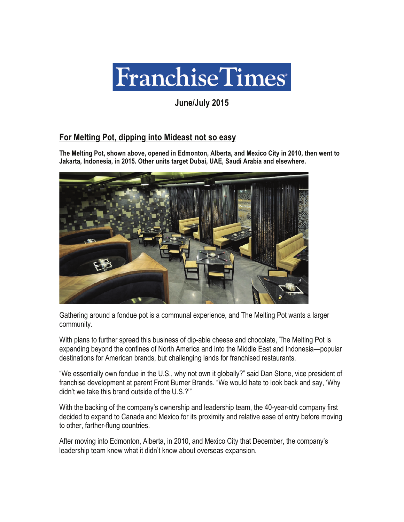

**June/July 2015** 

## **For Melting Pot, dipping into Mideast not so easy**

**The Melting Pot, shown above, opened in Edmonton, Alberta, and Mexico City in 2010, then went to Jakarta, Indonesia, in 2015. Other units target Dubai, UAE, Saudi Arabia and elsewhere.** 



Gathering around a fondue pot is a communal experience, and The Melting Pot wants a larger community.

With plans to further spread this business of dip-able cheese and chocolate, The Melting Pot is expanding beyond the confines of North America and into the Middle East and Indonesia—popular destinations for American brands, but challenging lands for franchised restaurants.

"We essentially own fondue in the U.S., why not own it globally?" said Dan Stone, vice president of franchise development at parent Front Burner Brands. "We would hate to look back and say, 'Why didn't we take this brand outside of the U.S.?'"

With the backing of the company's ownership and leadership team, the 40-year-old company first decided to expand to Canada and Mexico for its proximity and relative ease of entry before moving to other, farther-flung countries.

After moving into Edmonton, Alberta, in 2010, and Mexico City that December, the company's leadership team knew what it didn't know about overseas expansion.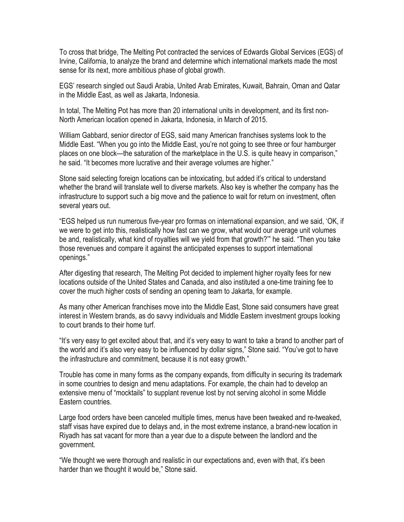To cross that bridge, The Melting Pot contracted the services of Edwards Global Services (EGS) of Irvine, California, to analyze the brand and determine which international markets made the most sense for its next, more ambitious phase of global growth.

EGS' research singled out Saudi Arabia, United Arab Emirates, Kuwait, Bahrain, Oman and Qatar in the Middle East, as well as Jakarta, Indonesia.

In total, The Melting Pot has more than 20 international units in development, and its first non-North American location opened in Jakarta, Indonesia, in March of 2015.

William Gabbard, senior director of EGS, said many American franchises systems look to the Middle East. "When you go into the Middle East, you're not going to see three or four hamburger places on one block—the saturation of the marketplace in the U.S. is quite heavy in comparison," he said. "It becomes more lucrative and their average volumes are higher."

Stone said selecting foreign locations can be intoxicating, but added it's critical to understand whether the brand will translate well to diverse markets. Also key is whether the company has the infrastructure to support such a big move and the patience to wait for return on investment, often several years out.

"EGS helped us run numerous five-year pro formas on international expansion, and we said, 'OK, if we were to get into this, realistically how fast can we grow, what would our average unit volumes be and, realistically, what kind of royalties will we yield from that growth?'" he said. "Then you take those revenues and compare it against the anticipated expenses to support international openings."

After digesting that research, The Melting Pot decided to implement higher royalty fees for new locations outside of the United States and Canada, and also instituted a one-time training fee to cover the much higher costs of sending an opening team to Jakarta, for example.

As many other American franchises move into the Middle East, Stone said consumers have great interest in Western brands, as do savvy individuals and Middle Eastern investment groups looking to court brands to their home turf.

"It's very easy to get excited about that, and it's very easy to want to take a brand to another part of the world and it's also very easy to be influenced by dollar signs," Stone said. "You've got to have the infrastructure and commitment, because it is not easy growth."

Trouble has come in many forms as the company expands, from difficulty in securing its trademark in some countries to design and menu adaptations. For example, the chain had to develop an extensive menu of "mocktails" to supplant revenue lost by not serving alcohol in some Middle Eastern countries.

Large food orders have been canceled multiple times, menus have been tweaked and re-tweaked, staff visas have expired due to delays and, in the most extreme instance, a brand-new location in Riyadh has sat vacant for more than a year due to a dispute between the landlord and the government.

"We thought we were thorough and realistic in our expectations and, even with that, it's been harder than we thought it would be," Stone said.